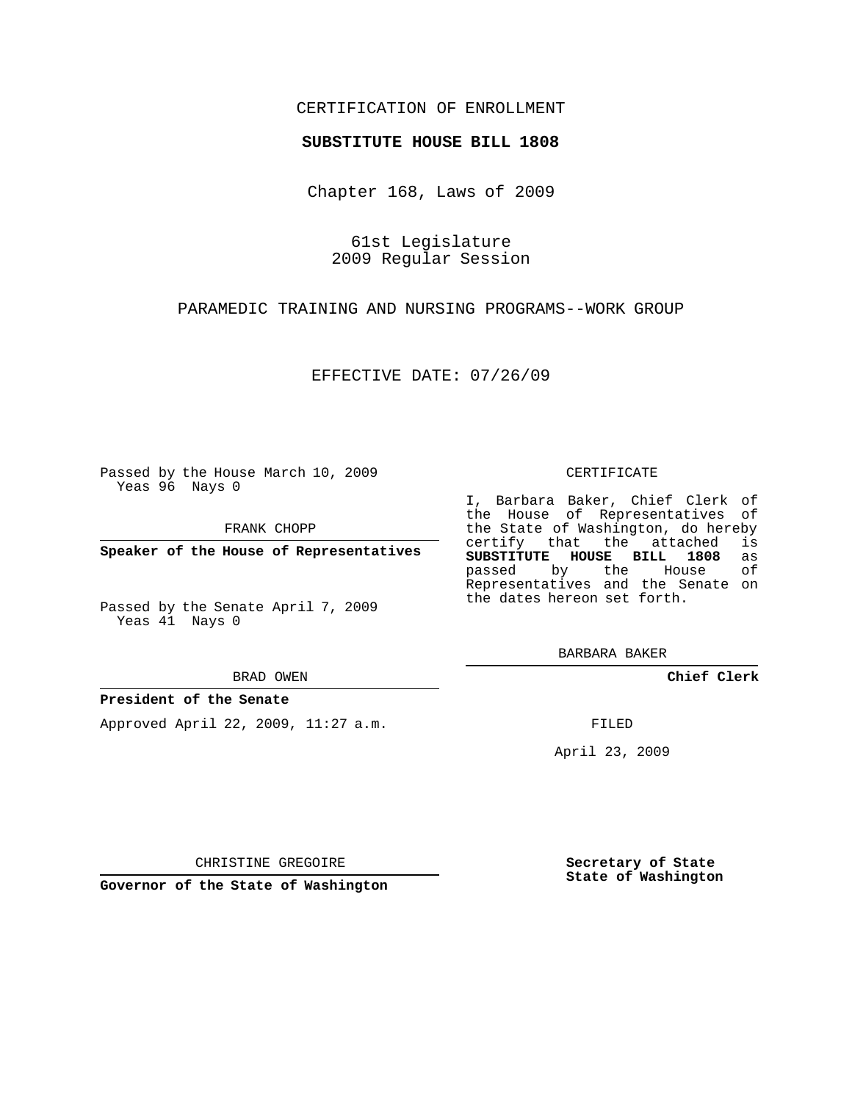## CERTIFICATION OF ENROLLMENT

## **SUBSTITUTE HOUSE BILL 1808**

Chapter 168, Laws of 2009

61st Legislature 2009 Regular Session

PARAMEDIC TRAINING AND NURSING PROGRAMS--WORK GROUP

EFFECTIVE DATE: 07/26/09

Passed by the House March 10, 2009 Yeas 96 Nays 0

FRANK CHOPP

**Speaker of the House of Representatives**

Passed by the Senate April 7, 2009 Yeas 41 Nays 0

BRAD OWEN

## **President of the Senate**

Approved April 22, 2009, 11:27 a.m.

#### CERTIFICATE

I, Barbara Baker, Chief Clerk of the House of Representatives of the State of Washington, do hereby<br>certify that the attached is certify that the attached **SUBSTITUTE HOUSE BILL 1808** as passed by the Representatives and the Senate on the dates hereon set forth.

BARBARA BAKER

**Chief Clerk**

FILED

April 23, 2009

CHRISTINE GREGOIRE

**Governor of the State of Washington**

**Secretary of State State of Washington**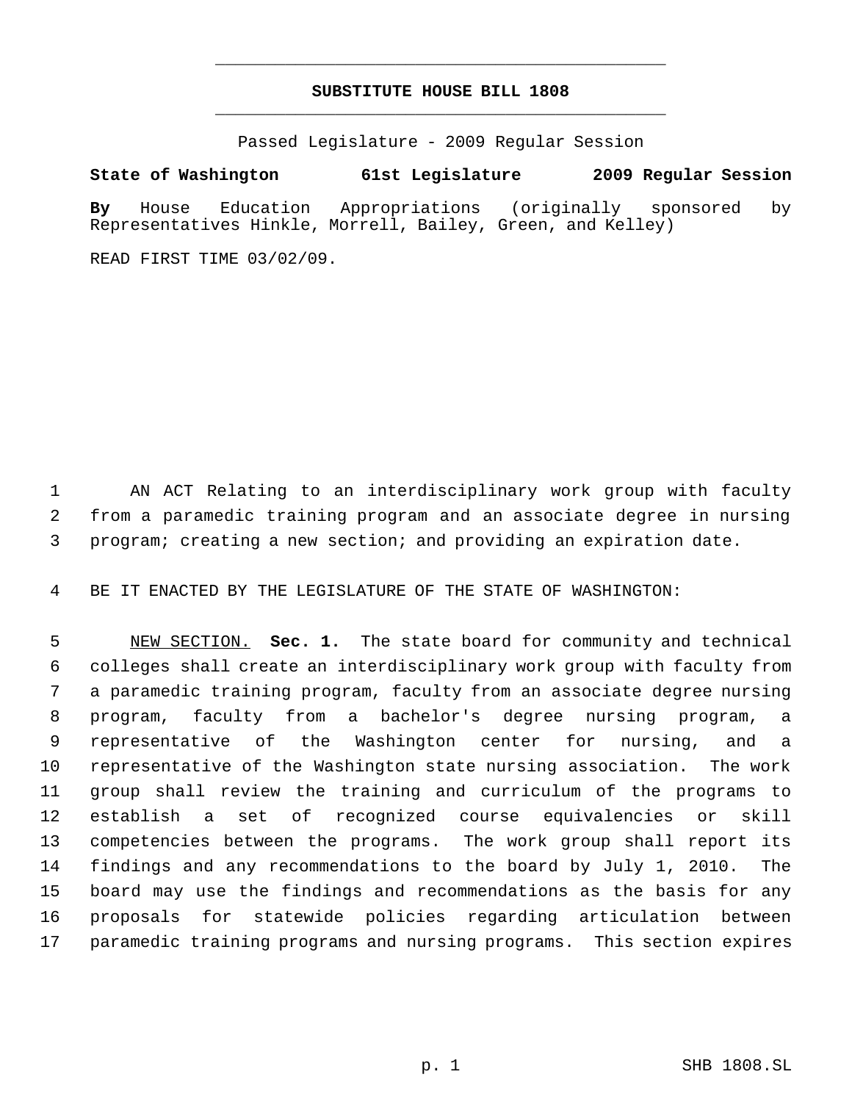# **SUBSTITUTE HOUSE BILL 1808** \_\_\_\_\_\_\_\_\_\_\_\_\_\_\_\_\_\_\_\_\_\_\_\_\_\_\_\_\_\_\_\_\_\_\_\_\_\_\_\_\_\_\_\_\_

\_\_\_\_\_\_\_\_\_\_\_\_\_\_\_\_\_\_\_\_\_\_\_\_\_\_\_\_\_\_\_\_\_\_\_\_\_\_\_\_\_\_\_\_\_

Passed Legislature - 2009 Regular Session

# **State of Washington 61st Legislature 2009 Regular Session**

**By** House Education Appropriations (originally sponsored by Representatives Hinkle, Morrell, Bailey, Green, and Kelley)

READ FIRST TIME 03/02/09.

 AN ACT Relating to an interdisciplinary work group with faculty from a paramedic training program and an associate degree in nursing program; creating a new section; and providing an expiration date.

BE IT ENACTED BY THE LEGISLATURE OF THE STATE OF WASHINGTON:

 NEW SECTION. **Sec. 1.** The state board for community and technical colleges shall create an interdisciplinary work group with faculty from a paramedic training program, faculty from an associate degree nursing program, faculty from a bachelor's degree nursing program, a representative of the Washington center for nursing, and a representative of the Washington state nursing association. The work group shall review the training and curriculum of the programs to establish a set of recognized course equivalencies or skill competencies between the programs. The work group shall report its findings and any recommendations to the board by July 1, 2010. The board may use the findings and recommendations as the basis for any proposals for statewide policies regarding articulation between paramedic training programs and nursing programs. This section expires